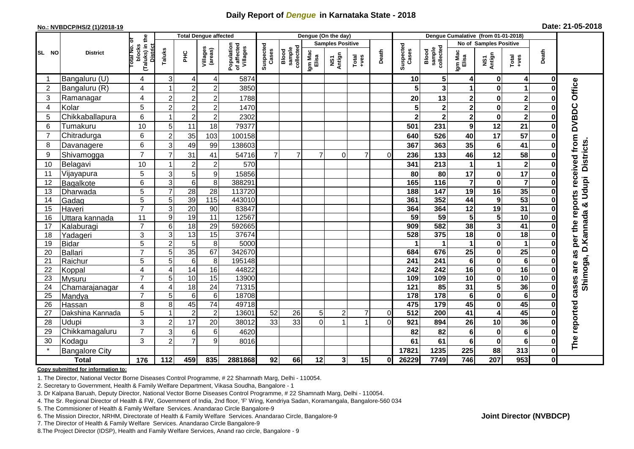## **Daily Report of** *Dengue* **in Karnataka State - 2018**

#### **No.: NVBDCP/HS/2 (1)/2018-19**

| Date: 21-05-2018 |  |  |  |  |
|------------------|--|--|--|--|
|------------------|--|--|--|--|

|                |                            |                                                             | <b>Total Dengue affected</b> |                 |                                    | Dengue (On the day)                   |                    |                              |                         |                |                                                                                                                                                                                                                                                                                                                                                                                                             |                | Dengue Cumalative (from 01-01-2018) |                              |                         |                                     |                         |              |                                   |
|----------------|----------------------------|-------------------------------------------------------------|------------------------------|-----------------|------------------------------------|---------------------------------------|--------------------|------------------------------|-------------------------|----------------|-------------------------------------------------------------------------------------------------------------------------------------------------------------------------------------------------------------------------------------------------------------------------------------------------------------------------------------------------------------------------------------------------------------|----------------|-------------------------------------|------------------------------|-------------------------|-------------------------------------|-------------------------|--------------|-----------------------------------|
|                |                            |                                                             |                              |                 |                                    |                                       |                    |                              | <b>Samples Positive</b> |                |                                                                                                                                                                                                                                                                                                                                                                                                             |                |                                     |                              | No of Samples Positive  |                                     |                         |              |                                   |
| SL NO          | <b>District</b>            | (Taluks) in the<br>otal No. of<br>blocks<br><b>District</b> | Taluks                       | ЭHС             | Villages<br>(areas)                | Population<br>of affected<br>Villages | Suspected<br>Cases | collected<br>sample<br>Blood | Igm Mac<br>Elisa        | NS1<br>Antign  | $\begin{array}{c}\n\text{Total} \\ \text{1-4} \\ \text{1-4} \\ \text{1-4} \\ \text{1-4} \\ \text{1-4} \\ \text{1-4} \\ \text{1-4} \\ \text{1-4} \\ \text{1-4} \\ \text{1-4} \\ \text{1-4} \\ \text{1-4} \\ \text{1-4} \\ \text{1-4} \\ \text{1-4} \\ \text{1-4} \\ \text{1-4} \\ \text{1-4} \\ \text{1-4} \\ \text{1-4} \\ \text{1-4} \\ \text{1-4} \\ \text{1-4} \\ \text{1-4} \\ \text{1-4} \\ \text{1-4$ | Death          | Suspected<br>Cases                  | sample<br>collected<br>Blood | Igm Mac<br>Elisa        | NS1<br>Antign                       | Total<br>+ves           | Death        |                                   |
| -1             | Bangaluru (U)              | 4                                                           | 3                            | 4               | 4                                  | 5874                                  |                    |                              |                         |                |                                                                                                                                                                                                                                                                                                                                                                                                             |                | 10                                  | 5                            | 4                       | 0                                   | $\overline{4}$          | 0            |                                   |
| $\overline{2}$ | Bangaluru (R)              | 4                                                           |                              | $\overline{2}$  | $\overline{2}$                     | 3850                                  |                    |                              |                         |                |                                                                                                                                                                                                                                                                                                                                                                                                             |                | 5                                   | 3                            | 1                       | $\bf{0}$                            | 1                       |              |                                   |
| 3              | Ramanagar                  | 4                                                           | $\overline{c}$               | $\overline{2}$  | $\overline{2}$                     | 1788                                  |                    |                              |                         |                |                                                                                                                                                                                                                                                                                                                                                                                                             |                | 20                                  | 13                           | $\mathbf 2$             | $\bf{0}$                            | $\mathbf 2$             |              | Office                            |
| $\overline{4}$ | Kolar                      | 5                                                           | $\overline{2}$               | $\overline{c}$  | $\overline{c}$                     | 1470                                  |                    |                              |                         |                |                                                                                                                                                                                                                                                                                                                                                                                                             |                | 5                                   | $\mathbf{2}$                 | $\overline{\mathbf{c}}$ | $\bf{0}$                            | $\overline{\mathbf{2}}$ |              |                                   |
| 5              | Chikkaballapura            | 6                                                           |                              | $\overline{c}$  | $\overline{c}$                     | 2302                                  |                    |                              |                         |                |                                                                                                                                                                                                                                                                                                                                                                                                             |                | $\overline{\mathbf{2}}$             | $\mathbf{2}$                 | $\overline{\mathbf{2}}$ | $\bf{0}$                            | $\overline{\mathbf{2}}$ |              |                                   |
| 6              | Tumakuru                   | 10                                                          | 5                            | 11              | 18                                 | 79377                                 |                    |                              |                         |                |                                                                                                                                                                                                                                                                                                                                                                                                             |                | 501                                 | 231                          | 9                       | 12                                  | 21                      |              | <b>DVBDC</b>                      |
| $\overline{7}$ | Chitradurga                | 6                                                           | $\overline{2}$               | 35              | 103                                | 100158                                |                    |                              |                         |                |                                                                                                                                                                                                                                                                                                                                                                                                             |                | 640                                 | 526                          | 40                      | $\overline{17}$                     | $\overline{57}$         |              |                                   |
| 8              | Davanagere                 | 6                                                           | 3                            | 49              | 99                                 | 138603                                |                    |                              |                         |                |                                                                                                                                                                                                                                                                                                                                                                                                             |                | 367                                 | 363                          | 35                      | $6\phantom{1}6$                     | 41                      |              |                                   |
| 9              | Shivamogga                 | $\overline{7}$                                              | 7                            | 31              | 41                                 | 54716                                 | $\overline{7}$     | $\overline{7}$               | $\overline{7}$          | $\Omega$       | $\overline{7}$                                                                                                                                                                                                                                                                                                                                                                                              | $\Omega$       | 236                                 | 133                          | 46                      | 12                                  | 58                      |              | received from<br><b>Districts</b> |
| 10             | Belagavi                   | 10                                                          |                              | $\overline{c}$  | $\boldsymbol{2}$                   | 570                                   |                    |                              |                         |                |                                                                                                                                                                                                                                                                                                                                                                                                             |                | 341                                 | 213                          | 1                       | $\mathbf 1$                         | $\mathbf{2}$            |              |                                   |
| 11             | Vijayapura                 | 5                                                           | 3                            | 5               | 9                                  | 15856                                 |                    |                              |                         |                |                                                                                                                                                                                                                                                                                                                                                                                                             |                | 80                                  | 80                           | 17                      | $\bf{0}$                            | $\overline{17}$         |              |                                   |
| 12             | Bagalkote                  | 6                                                           | 3                            | $6\phantom{1}6$ | $\overline{8}$                     | 388291                                |                    |                              |                         |                |                                                                                                                                                                                                                                                                                                                                                                                                             |                | 165                                 | $\frac{116}{116}$            | $\overline{\mathbf{7}}$ | $\mathbf 0$                         | $\overline{\mathbf{7}}$ |              | Shimoga, D.Kannada & Udupi        |
| 13             | Dharwada                   | $\overline{5}$                                              | $\overline{7}$               | $\overline{28}$ | $\overline{28}$                    | 113720                                |                    |                              |                         |                |                                                                                                                                                                                                                                                                                                                                                                                                             |                | 188                                 | $\overline{147}$             | 19                      | 16                                  | 35                      |              |                                   |
| 14             | Gadag                      | 5                                                           | 5                            | 39              | $\frac{115}{115}$                  | 443010                                |                    |                              |                         |                |                                                                                                                                                                                                                                                                                                                                                                                                             |                | 361                                 | 352                          | 44                      | 9                                   | $\overline{53}$         | O            | per the reports                   |
| 15             | Haveri                     | $\overline{7}$                                              | 3                            | 20              | 90                                 | 83847                                 |                    |                              |                         |                |                                                                                                                                                                                                                                                                                                                                                                                                             |                | 364                                 | 364                          | 12                      | 19                                  | 31                      | 0            |                                   |
| 16             | Uttara kannada             | 11                                                          | $\boldsymbol{9}$             | 19              | 11                                 | 12567                                 |                    |                              |                         |                |                                                                                                                                                                                                                                                                                                                                                                                                             |                | 59                                  | 59                           | 5                       | 5                                   | 10                      |              |                                   |
| 17             | Kalaburagi                 | $\overline{7}$                                              | 6                            | $\overline{18}$ | $\overline{29}$                    | 592665                                |                    |                              |                         |                |                                                                                                                                                                                                                                                                                                                                                                                                             |                | 909                                 | 582                          | 38                      | $\overline{\mathbf{3}}$             | $\overline{41}$         |              |                                   |
| 18             | Yadageri                   | 3                                                           | 3                            | $\overline{13}$ | 15                                 | 37674                                 |                    |                              |                         |                |                                                                                                                                                                                                                                                                                                                                                                                                             |                | $\overline{528}$                    | 375                          | $\overline{18}$         | $\mathbf 0$                         | $\overline{18}$         |              |                                   |
| 19             | <b>Bidar</b>               | 5                                                           | $\overline{c}$               | 5               | 8                                  | 5000                                  |                    |                              |                         |                |                                                                                                                                                                                                                                                                                                                                                                                                             |                |                                     | -1                           | 1                       | $\bf{0}$                            | 1                       |              |                                   |
| 20             | Ballari                    | $\overline{7}$                                              | $\overline{5}$               | $\overline{35}$ | 67                                 | 342670                                |                    |                              |                         |                |                                                                                                                                                                                                                                                                                                                                                                                                             |                | 684                                 | 676                          | $\overline{25}$         | $\bf{0}$                            | $\overline{25}$         |              | as                                |
| 21             | Raichur                    | 5                                                           | 5                            | $\,6\,$         | 8                                  | 195148                                |                    |                              |                         |                |                                                                                                                                                                                                                                                                                                                                                                                                             |                | 241                                 | 241                          | $\bf 6$                 | $\bf{0}$                            | $\bf 6$                 |              | are                               |
| 22             | Koppal                     | 4                                                           | 4                            | 14              | 16                                 | 44822                                 |                    |                              |                         |                |                                                                                                                                                                                                                                                                                                                                                                                                             |                | 242                                 | 242                          | 16                      | $\bf{0}$                            | 16                      |              |                                   |
| 23             | Mysuru                     | $\overline{7}$                                              | 5                            | 10              | 15                                 | 13900                                 |                    |                              |                         |                |                                                                                                                                                                                                                                                                                                                                                                                                             |                | 109                                 | 109                          | 10                      | $\mathbf 0$                         | 10                      | 0            |                                   |
| 24<br>25       | Chamarajanagar             | 4<br>$\overline{7}$                                         | 4<br>5                       | 18<br>6         | $\overline{24}$<br>$6\phantom{1}6$ | 71315<br>18708                        |                    |                              |                         |                |                                                                                                                                                                                                                                                                                                                                                                                                             |                | $\overline{121}$<br>$\frac{1}{178}$ | 85<br>178                    | 31<br>$6\phantom{1}$    | $\overline{\mathbf{5}}$<br>$\bf{0}$ | 36<br>$6\phantom{1}$    | 0            | cases                             |
| 26             | Mandya                     | 8                                                           | 8                            | 45              | $\overline{74}$                    | 49718                                 |                    |                              |                         |                |                                                                                                                                                                                                                                                                                                                                                                                                             |                | 475                                 | 179                          | 45                      | $\bf{0}$                            | 45                      |              |                                   |
| 27             | Hassan<br>Dakshina Kannada | $\overline{5}$                                              |                              | $\overline{2}$  | $\overline{2}$                     | 13601                                 | 52                 | 26                           | 5 <sup>1</sup>          | $\overline{2}$ | $\overline{7}$                                                                                                                                                                                                                                                                                                                                                                                              | $\overline{0}$ | $\overline{512}$                    | 200                          | 41                      | $\overline{4}$                      | 45                      | 0            |                                   |
| 28             | Udupi                      | 3                                                           | $\overline{2}$               | 17              | 20                                 | 38012                                 | 33                 | 33                           | $\overline{0}$          |                |                                                                                                                                                                                                                                                                                                                                                                                                             | $\Omega$       | 921                                 | 894                          | 26                      | 10                                  | 36                      |              |                                   |
| 29             | Chikkamagaluru             | $\overline{7}$                                              | 3                            | 6               | $\,6$                              | 4620                                  |                    |                              |                         |                |                                                                                                                                                                                                                                                                                                                                                                                                             |                | 82                                  | 82                           | 6                       | $\bf{0}$                            | $6\phantom{1}6$         |              | The reported                      |
| 30             | Kodagu                     | 3                                                           | $\overline{2}$               | 7               | 9                                  | 8016                                  |                    |                              |                         |                |                                                                                                                                                                                                                                                                                                                                                                                                             |                | 61                                  | 61                           | 6                       | $\bf{0}$                            | 6                       |              |                                   |
| $\star$        |                            |                                                             |                              |                 |                                    |                                       |                    |                              |                         |                |                                                                                                                                                                                                                                                                                                                                                                                                             |                | 17821                               | 1235                         | 225                     | 88                                  | 313                     | 0            |                                   |
|                | <b>Bangalore City</b>      | $\frac{1}{176}$                                             | 112                          |                 |                                    |                                       |                    |                              |                         |                | 15                                                                                                                                                                                                                                                                                                                                                                                                          |                |                                     |                              | 746                     | 207                                 |                         | $\mathbf{0}$ |                                   |
|                | <b>Total</b>               |                                                             |                              | 459             | 835                                | 2881868                               | 92                 | 66                           | 12                      | 3 <sup>1</sup> |                                                                                                                                                                                                                                                                                                                                                                                                             | 0              | 26229                               | 7749                         |                         |                                     | 953                     |              |                                   |

#### **Copy submitted for information to:**

1. The Director, National Vector Borne Diseases Control Programme, # 22 Shamnath Marg, Delhi - 110054.

2. Secretary to Government, Health & Family Welfare Department, Vikasa Soudha, Bangalore - 1

3. Dr Kalpana Baruah, Deputy Director, National Vector Borne Diseases Control Programme, # 22 Shamnath Marg, Delhi - 110054.

4. The Sr. Regional Director of Health & FW, Government of India, 2nd floor, 'F' Wing, Kendriya Sadan, Koramangala, Bangalore-560 034

5. The Commisioner of Health & Family Welfare Services. Anandarao Circle Bangalore-9

6. The Mission Director, NRHM, Directorate of Health & Family Welfare Services. Anandarao Circle, Bangalore-9

7. The Director of Health & Family Welfare Services. Anandarao Circle Bangalore-9

8.The Project Director (IDSP), Health and Family Welfare Services, Anand rao circle, Bangalore - 9